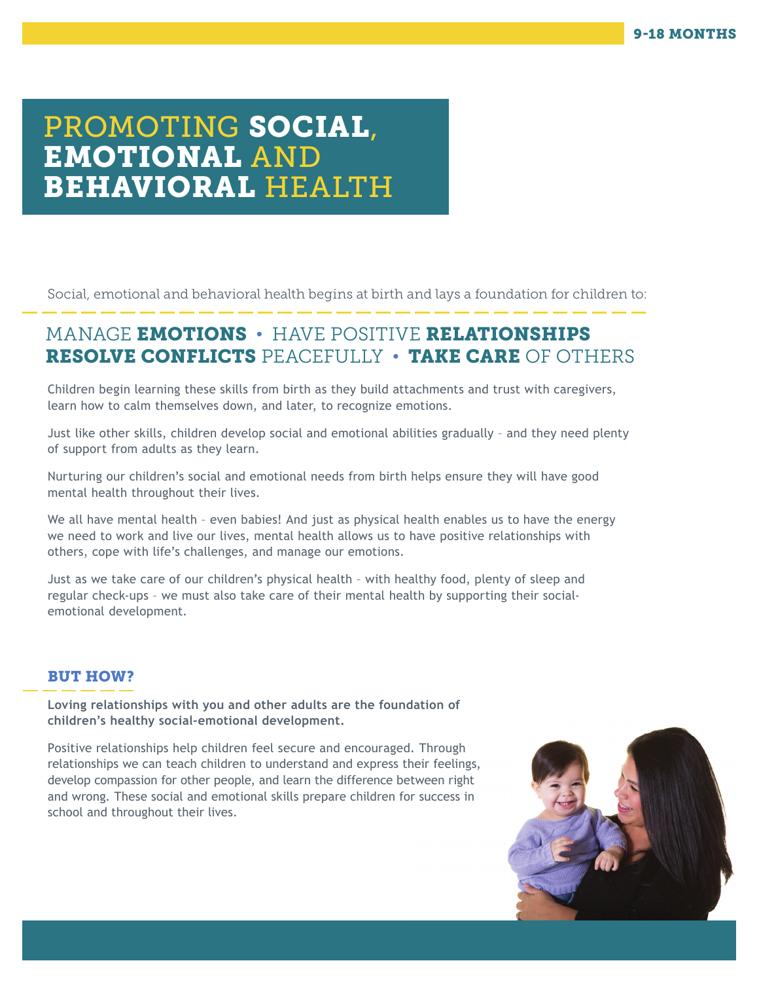# PROMOTING SOCIAL, EMOTIONAL AND BEHAVIORAL HEALTH

Social, emotional and behavioral health begins at birth and lays a foundation for children to:

## MANAGE EMOTIONS • HAVE POSITIVE RELATIONSHIPS RESOLVE CONFLICTS PEACEFULLY • TAKE CARE OF OTHERS

Children begin learning these skills from birth as they build attachments and trust with caregivers, learn how to calm themselves down, and later, to recognize emotions.

Just like other skills, children develop social and emotional abilities gradually – and they need plenty of support from adults as they learn.

Nurturing our children's social and emotional needs from birth helps ensure they will have good mental health throughout their lives.

We all have mental health - even babies! And just as physical health enables us to have the energy we need to work and live our lives, mental health allows us to have positive relationships with others, cope with life's challenges, and manage our emotions.

Just as we take care of our children's physical health – with healthy food, plenty of sleep and regular check-ups – we must also take care of their mental health by supporting their socialemotional development.

### BUT HOW?

**Loving relationships with you and other adults are the foundation of children's healthy social-emotional development.** 

Positive relationships help children feel secure and encouraged. Through relationships we can teach children to understand and express their feelings, develop compassion for other people, and learn the difference between right and wrong. These social and emotional skills prepare children for success in school and throughout their lives.